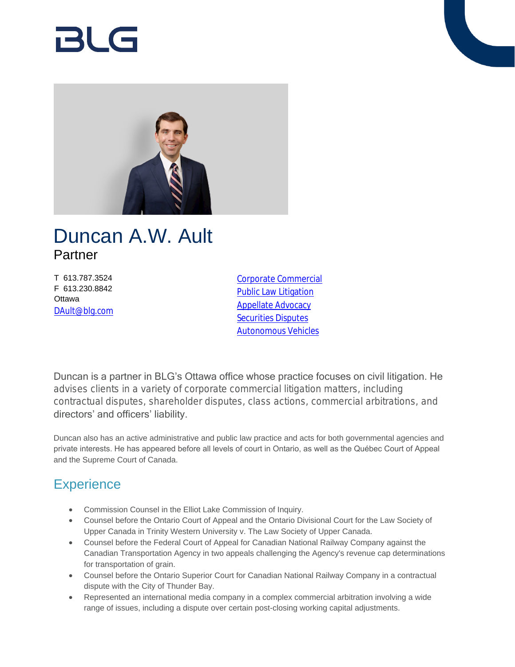# 121 G



## Duncan A.W. Ault Partner

T 613.787.3524 F 613.230.8842 **Ottawa** [DAult@blg.com](mailto:DAult@blg.com) [Corporate Commercial](https://www.blg.com/en/services/practice-areas/corporate-commercial) [Public Law Litigation](https://www.blg.com/en/services/practice-areas/disputes/public-law-litigation) [Appellate Advocacy](https://www.blg.com/en/services/practice-areas/disputes/appellate-advocacy) [Securities Disputes](https://www.blg.com/en/services/practice-areas/disputes/securities-disputes) [Autonomous Vehicles](https://www.blg.com/en/services/industries/transportation/autonomous-vehicles)

Duncan is a partner in BLG's Ottawa office whose practice focuses on civil litigation. He advises clients in a variety of corporate commercial litigation matters, including contractual disputes, shareholder disputes, class actions, commercial arbitrations, and directors' and officers' liability.

Duncan also has an active administrative and public law practice and acts for both governmental agencies and private interests. He has appeared before all levels of court in Ontario, as well as the Québec Court of Appeal and the Supreme Court of Canada.

## **Experience**

- Commission Counsel in the Elliot Lake Commission of Inquiry.
- Counsel before the Ontario Court of Appeal and the Ontario Divisional Court for the Law Society of Upper Canada in Trinity Western University v. The Law Society of Upper Canada.
- Counsel before the Federal Court of Appeal for Canadian National Railway Company against the Canadian Transportation Agency in two appeals challenging the Agency's revenue cap determinations for transportation of grain.
- Counsel before the Ontario Superior Court for Canadian National Railway Company in a contractual dispute with the City of Thunder Bay.
- Represented an international media company in a complex commercial arbitration involving a wide range of issues, including a dispute over certain post-closing working capital adjustments.